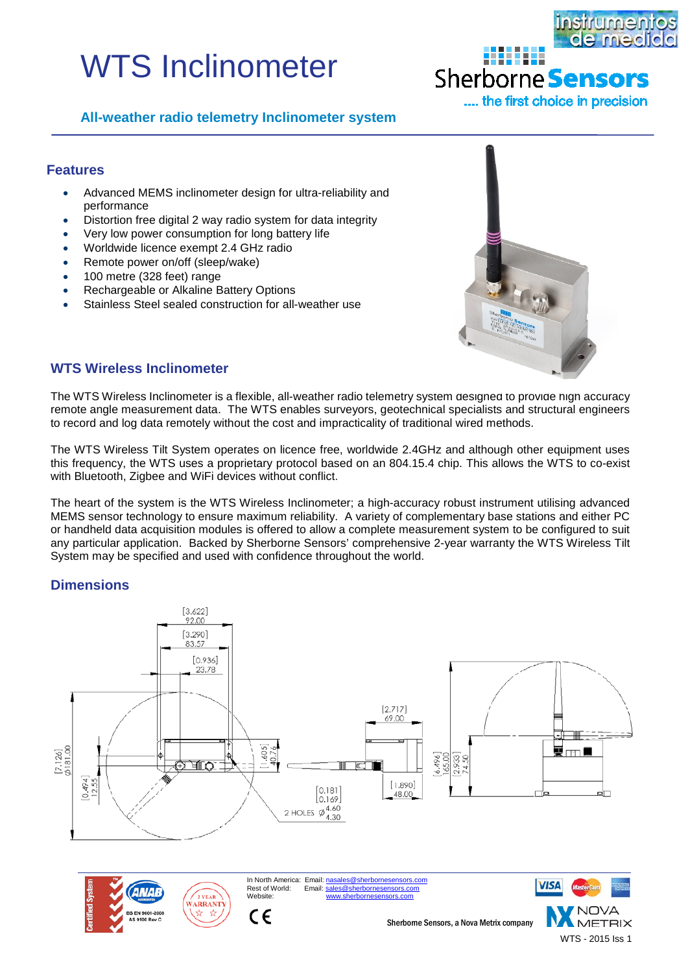# WTS Inclinometer



# Sherborne **Sensors**

8888888

.... the first choice in precision

# **All-weather radio telemetry Inclinometer system**

#### **Features**

- Advanced MEMS inclinometer design for ultra-reliability and performance
- Distortion free digital 2 way radio system for data integrity
- Very low power consumption for long battery life
- Worldwide licence exempt 2.4 GHz radio
- Remote power on/off (sleep/wake)
- 100 metre (328 feet) range
- Rechargeable or Alkaline Battery Options
- Stainless Steel sealed construction for all-weather use



WTS - 2015 Iss 1

# **WTS Wireless Inclinometer**

The WTS Wireless Inclinometer is a flexible, all-weather radio telemetry system designed to provide high accuracy remote angle measurement data. The WTS enables surveyors, geotechnical specialists and structural engineers to record and log data remotely without the cost and impracticality of traditional wired methods.

The WTS Wireless Tilt System operates on licence free, worldwide 2.4GHz and although other equipment uses this frequency, the WTS uses a proprietary protocol based on an 804.15.4 chip. This allows the WTS to co-exist with Bluetooth, Zigbee and WiFi devices without conflict.

The heart of the system is the WTS Wireless Inclinometer; a high-accuracy robust instrument utilising advanced MEMS sensor technology to ensure maximum reliability. A variety of complementary base stations and either PC or handheld data acquisition modules is offered to allow a complete measurement system to be configured to suit any particular application. Backed by Sherborne Sensors' comprehensive 2-year warranty the WTS Wireless Tilt System may be specified and used with confidence throughout the world.

# **Dimensions**

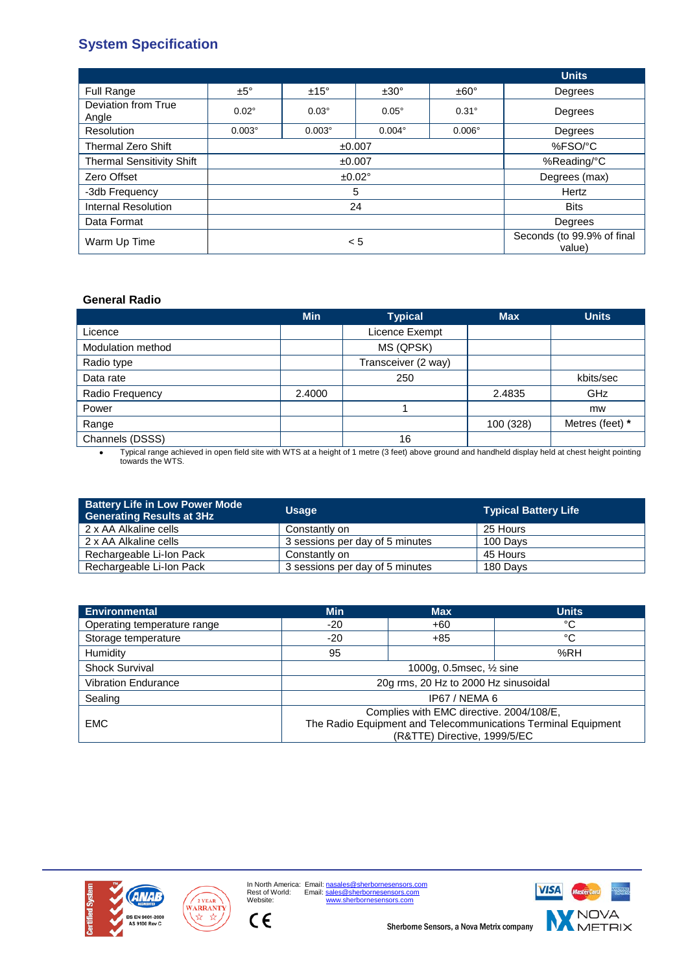# **System Specification**

|                                  |               |               |               |                                      | <b>Units</b> |
|----------------------------------|---------------|---------------|---------------|--------------------------------------|--------------|
| Full Range                       | $±5^\circ$    | $±15^\circ$   | $±30^{\circ}$ | $±60^{\circ}$                        | Degrees      |
| Deviation from True<br>Angle     | $0.02^\circ$  | $0.03^\circ$  | $0.05^\circ$  | $0.31^\circ$                         | Degrees      |
| Resolution                       | $0.003^\circ$ | $0.003^\circ$ | $0.004^\circ$ | $0.006^\circ$                        | Degrees      |
| <b>Thermal Zero Shift</b>        | ±0.007        |               |               | %FSO/°C                              |              |
| <b>Thermal Sensitivity Shift</b> | ±0.007        |               |               | %Reading/°C                          |              |
| Zero Offset                      | ±0.02°        |               |               | Degrees (max)                        |              |
| -3db Frequency                   | 5             |               |               | Hertz                                |              |
| <b>Internal Resolution</b>       | 24            |               |               | <b>Bits</b>                          |              |
| Data Format                      |               |               |               | Degrees                              |              |
| Warm Up Time                     | < 5           |               |               | Seconds (to 99.9% of final<br>value) |              |

#### **General Radio**

|                   | <b>Min</b> | <b>Typical</b>      | <b>Max</b> | <b>Units</b>    |
|-------------------|------------|---------------------|------------|-----------------|
| Licence           |            | Licence Exempt      |            |                 |
| Modulation method |            | MS (QPSK)           |            |                 |
| Radio type        |            | Transceiver (2 way) |            |                 |
| Data rate         |            | 250                 |            | kbits/sec       |
| Radio Frequency   | 2.4000     |                     | 2.4835     | GHz             |
| Power             |            |                     |            | mw              |
| Range             |            |                     | 100 (328)  | Metres (feet) * |
| Channels (DSSS)   |            | 16                  |            |                 |

• Typical range achieved in open field site with WTS at a height of 1 metre (3 feet) above ground and handheld display held at chest height pointing towards the WTS.

| <b>Battery Life in Low Power Mode</b><br><b>Generating Results at 3Hz</b> | <b>Usage</b>                    | <b>Typical Battery Life</b> |
|---------------------------------------------------------------------------|---------------------------------|-----------------------------|
| 2 x AA Alkaline cells                                                     | Constantly on                   | 25 Hours                    |
| 2 x AA Alkaline cells                                                     | 3 sessions per day of 5 minutes | 100 Days                    |
| Rechargeable Li-Ion Pack                                                  | Constantly on                   | 45 Hours                    |
| Rechargeable Li-Ion Pack                                                  | 3 sessions per day of 5 minutes | 180 Days                    |

| <b>Environmental</b>        | <b>Min</b>                                                    | <b>Max</b> | <b>Units</b> |  |
|-----------------------------|---------------------------------------------------------------|------------|--------------|--|
| Operating temperature range | -20                                                           | +60        | °C           |  |
| Storage temperature         | -20                                                           | $+85$      | °C           |  |
| Humidity                    | 95                                                            |            | %RH          |  |
| <b>Shock Survival</b>       | 1000g, 0.5msec, 1/2 sine                                      |            |              |  |
| <b>Vibration Endurance</b>  | 20g rms, 20 Hz to 2000 Hz sinusoidal                          |            |              |  |
| Sealing                     | IP67 / NEMA 6                                                 |            |              |  |
|                             | Complies with EMC directive. 2004/108/E,                      |            |              |  |
| <b>EMC</b>                  | The Radio Equipment and Telecommunications Terminal Equipment |            |              |  |
|                             | (R&TTE) Directive, 1999/5/EC                                  |            |              |  |





 $C \in$ 

In North America: Email: <u>nasales@sherbornesensors.com</u><br>Rest of World: Email: <u>sales@sherbornesensors.com</u><br>Website: [www.sherbornesensors.com](http://www.sherbornesensors.com/)



Sherborne Sensors, a Nova Metrix company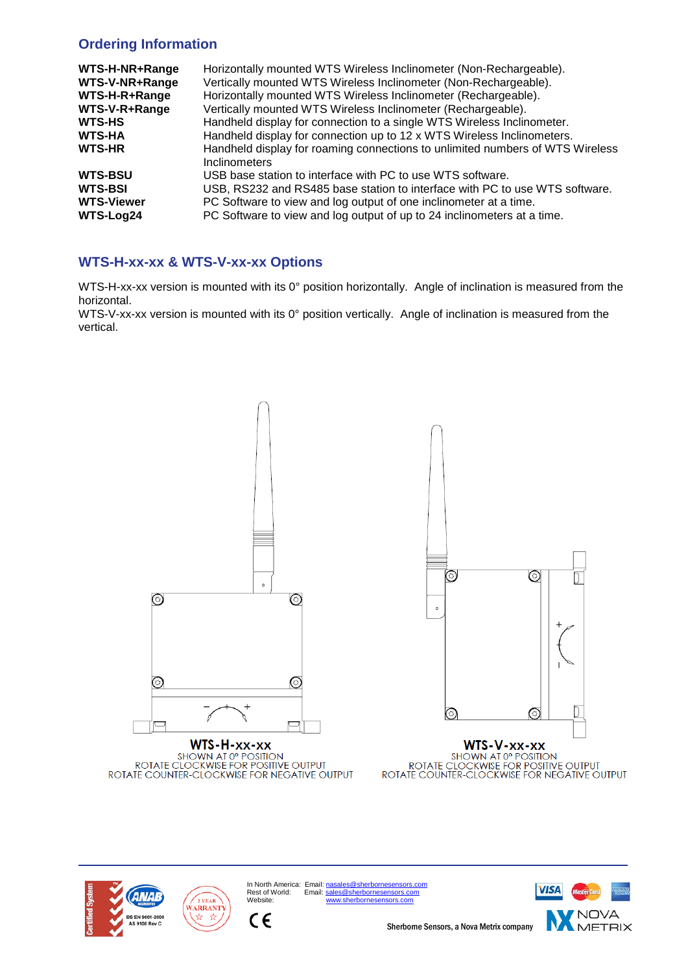# **Ordering Information**

| WTS-H-NR+Range<br>WTS-V-NR+Range<br>WTS-H-R+Range | Horizontally mounted WTS Wireless Inclinometer (Non-Rechargeable).<br>Vertically mounted WTS Wireless Inclinometer (Non-Rechargeable).<br>Horizontally mounted WTS Wireless Inclinometer (Rechargeable). |
|---------------------------------------------------|----------------------------------------------------------------------------------------------------------------------------------------------------------------------------------------------------------|
| WTS-V-R+Range                                     | Vertically mounted WTS Wireless Inclinometer (Rechargeable).                                                                                                                                             |
| <b>WTS-HS</b>                                     | Handheld display for connection to a single WTS Wireless Inclinometer.                                                                                                                                   |
| <b>WTS-HA</b>                                     | Handheld display for connection up to 12 x WTS Wireless Inclinometers.                                                                                                                                   |
| <b>WTS-HR</b>                                     | Handheld display for roaming connections to unlimited numbers of WTS Wireless<br><b>Inclinometers</b>                                                                                                    |
| <b>WTS-BSU</b>                                    | USB base station to interface with PC to use WTS software.                                                                                                                                               |
| <b>WTS-BSI</b>                                    | USB, RS232 and RS485 base station to interface with PC to use WTS software.                                                                                                                              |
| <b>WTS-Viewer</b><br>WTS-Log24                    | PC Software to view and log output of one inclinometer at a time.<br>PC Software to view and log output of up to 24 inclinometers at a time.                                                             |
|                                                   |                                                                                                                                                                                                          |

# **WTS-H-xx-xx & WTS-V-xx-xx Options**

WTS-H-xx-xx version is mounted with its 0° position horizontally. Angle of inclination is measured from the horizontal.

WTS-V-xx-xx version is mounted with its 0° position vertically. Angle of inclination is measured from the vertical.



WTS-H-xx-xx 

 $\epsilon$ 



WTS-V-xx-xx **WAT OF POSITION<br>ROTATE CLOCKWISE FOR POSITIVE OUTPUT<br>ROTATE COUNTER-CLOCKWISE FOR NEGATIVE OUTPUT** 



In North America: Email[: nasales@sherbornesensors.com](mailto:nasales@sherbornesensors.com)<br>Rest of World: Email[: sales@sherbornesensors.com](mailto:sales@sherbornesensors.com) In North America: Email: https://[www.sherbornesensors.com](http://www.sherbornesensors.com/)<br>Rest of World: Email: sales@sherbornesensors.com<br>Website: www.sherbornesensors.com



Sherborne Sensors, a Nova Metrix company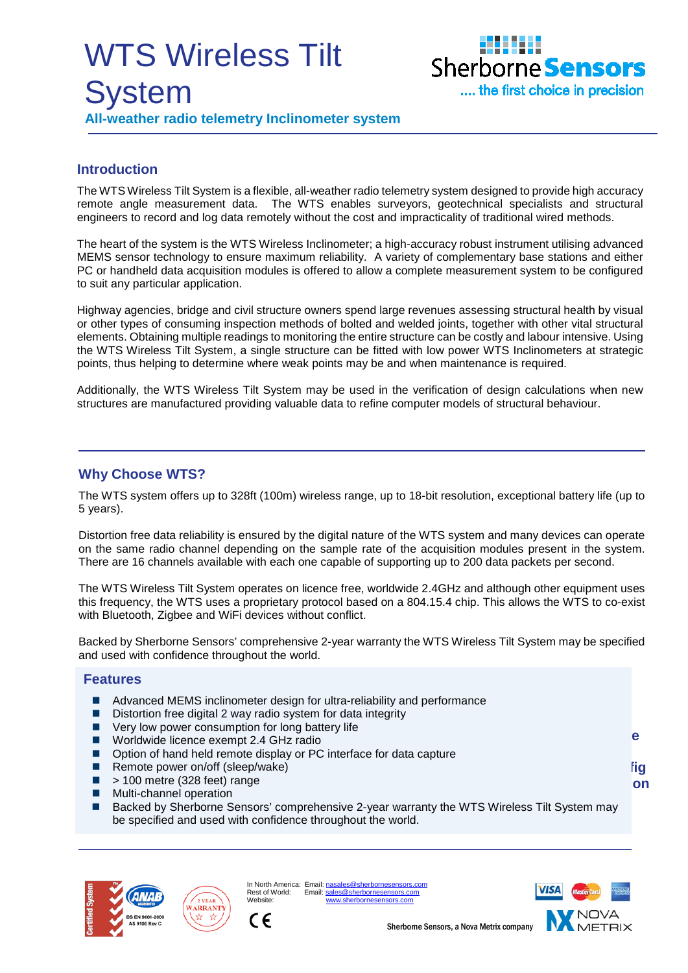# WTS Wireless Tilt **System All-weather radio telemetry Inclinometer system**



# **Introduction**

The WTS Wireless Tilt System is a flexible, all-weather radio telemetry system designed to provide high accuracy remote angle measurement data. The WTS enables surveyors, geotechnical specialists and structural engineers to record and log data remotely without the cost and impracticality of traditional wired methods.

The heart of the system is the WTS Wireless Inclinometer; a high-accuracy robust instrument utilising advanced MEMS sensor technology to ensure maximum reliability. A variety of complementary base stations and either PC or handheld data acquisition modules is offered to allow a complete measurement system to be configured to suit any particular application.

Highway agencies, bridge and civil structure owners spend large revenues assessing structural health by visual or other types of consuming inspection methods of bolted and welded joints, together with other vital structural elements. Obtaining multiple readings to monitoring the entire structure can be costly and labour intensive. Using the WTS Wireless Tilt System, a single structure can be fitted with low power WTS Inclinometers at strategic points, thus helping to determine where weak points may be and when maintenance is required.

Additionally, the WTS Wireless Tilt System may be used in the verification of design calculations when new structures are manufactured providing valuable data to refine computer models of structural behaviour.

#### **Why Choose WTS?**

The WTS system offers up to 328ft (100m) wireless range, up to 18-bit resolution, exceptional battery life (up to 5 years).

Distortion free data reliability is ensured by the digital nature of the WTS system and many devices can operate on the same radio channel depending on the sample rate of the acquisition modules present in the system. There are 16 channels available with each one capable of supporting up to 200 data packets per second.

The WTS Wireless Tilt System operates on licence free, worldwide 2.4GHz and although other equipment uses this frequency, the WTS uses a proprietary protocol based on a 804.15.4 chip. This allows the WTS to co-exist with Bluetooth, Zigbee and WiFi devices without conflict.

Backed by Sherborne Sensors' comprehensive 2-year warranty the WTS Wireless Tilt System may be specified and used with confidence throughout the world.

#### **Features**

- Advanced MEMS inclinometer design for ultra-reliability and performance
- Distortion free digital 2 way radio system for data integrity
- Very low power consumption for long battery life
- Worldwide licence exempt 2.4 GHz radio
- Option of hand held remote display or PC interface for data capture
- Remote power on/off (sleep/wake)
- $\blacksquare$  > 100 metre (328 feet) range
- **Multi-channel operation**
- Backed by Sherborne Sensors' comprehensive 2-year warranty the WTS Wireless Tilt System may be specified and used with confidence throughout the world.





In North America: Email: nasales@sherbornes.<br>Rest of World: Email: sales@sherbornes Email[: sales@sherbornesensors.com](mailto:sales@sherbornesensors.com) Website<sup>.</sup>



**Syste**

**Config on** 

Sherborne Sensors, a Nova Metrix company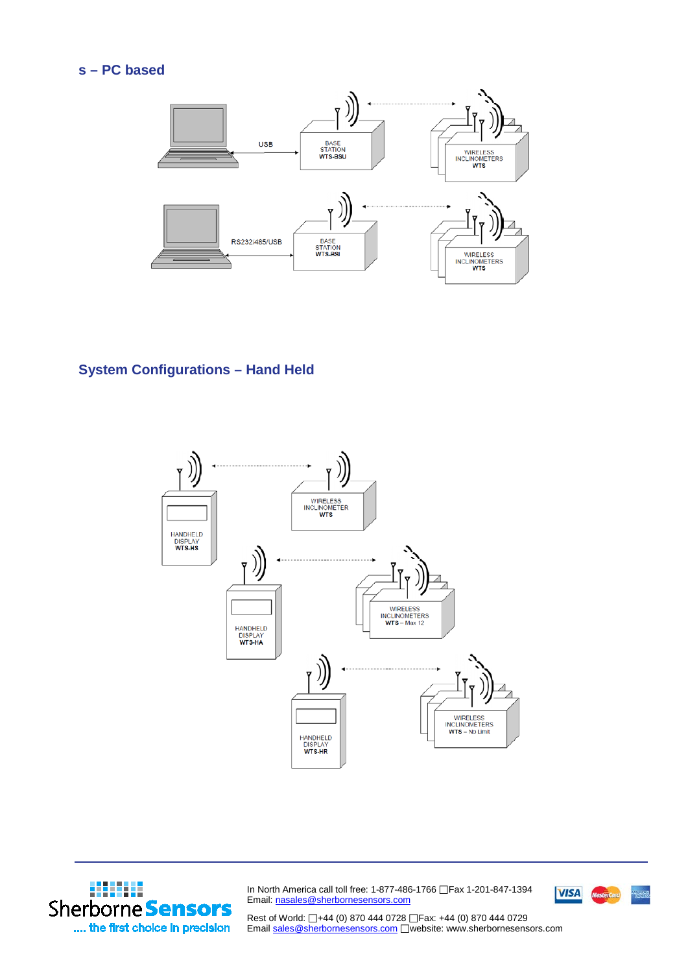

# **System Configurations – Hand Held**





In North America call toll free: 1-877-486-1766 Fax 1-201-847-1394 Email[: nasales@sherbornesensors.com](mailto:nasals@sherbornesensors.com)



Rest of World: □+44 (0) 870 444 0728 □ Fax: +44 (0) 870 444 0729 Email [sales@sherbornesensors.com](mailto:sales@sherbornesensors.com) Website: www.sherbornesensors.com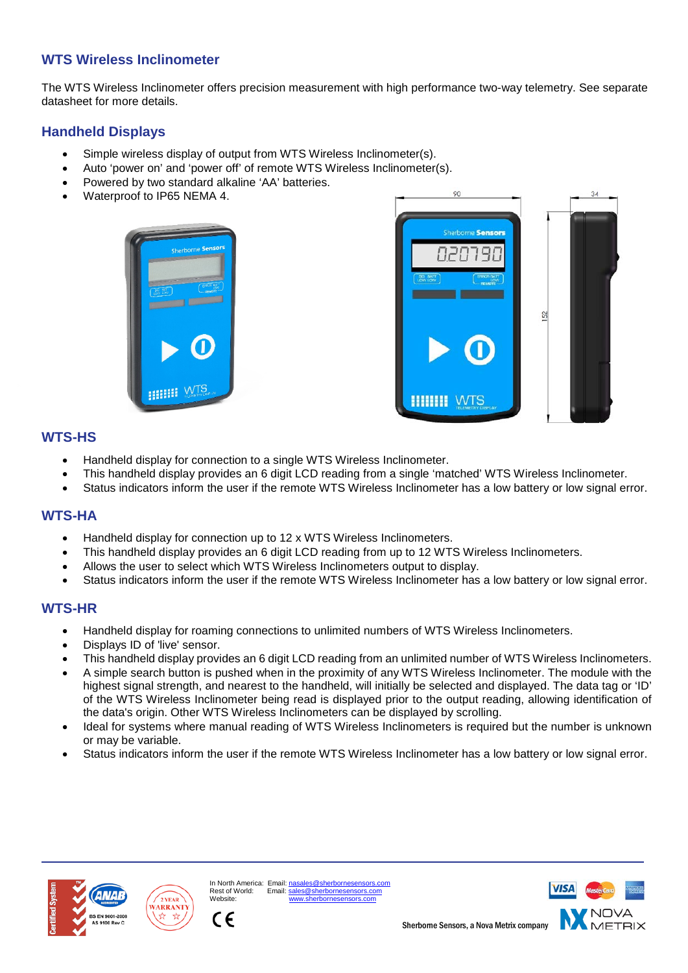# **WTS Wireless Inclinometer**

The WTS Wireless Inclinometer offers precision measurement with high performance two-way telemetry. See separate datasheet for more details.

# **Handheld Displays**

- Simple wireless display of output from WTS Wireless Inclinometer(s).
- Auto 'power on' and 'power off' of remote WTS Wireless Inclinometer(s).
- Powered by two standard alkaline 'AA' batteries.
- Waterproof to IP65 NEMA 4.





# **WTS-HS**

- Handheld display for connection to a single WTS Wireless Inclinometer.
- This handheld display provides an 6 digit LCD reading from a single 'matched' WTS Wireless Inclinometer.
- Status indicators inform the user if the remote WTS Wireless Inclinometer has a low battery or low signal error.

# **WTS-HA**

- Handheld display for connection up to 12 x WTS Wireless Inclinometers.
- This handheld display provides an 6 digit LCD reading from up to 12 WTS Wireless Inclinometers.
- Allows the user to select which WTS Wireless Inclinometers output to display.
- Status indicators inform the user if the remote WTS Wireless Inclinometer has a low battery or low signal error.

# **WTS-HR**

- Handheld display for roaming connections to unlimited numbers of WTS Wireless Inclinometers.
- Displays ID of 'live' sensor.
- This handheld display provides an 6 digit LCD reading from an unlimited number of WTS Wireless Inclinometers.
- A simple search button is pushed when in the proximity of any WTS Wireless Inclinometer. The module with the highest signal strength, and nearest to the handheld, will initially be selected and displayed. The data tag or 'ID' of the WTS Wireless Inclinometer being read is displayed prior to the output reading, allowing identification of the data's origin. Other WTS Wireless Inclinometers can be displayed by scrolling.
- Ideal for systems where manual reading of WTS Wireless Inclinometers is required but the number is unknown or may be variable.
- Status indicators inform the user if the remote WTS Wireless Inclinometer has a low battery or low signal error.





Website:

CE

In North America: Email: nasales@sherborne<br>Rest of World: Email: sales@sherborneser  $R = \frac{1}{2}$ 

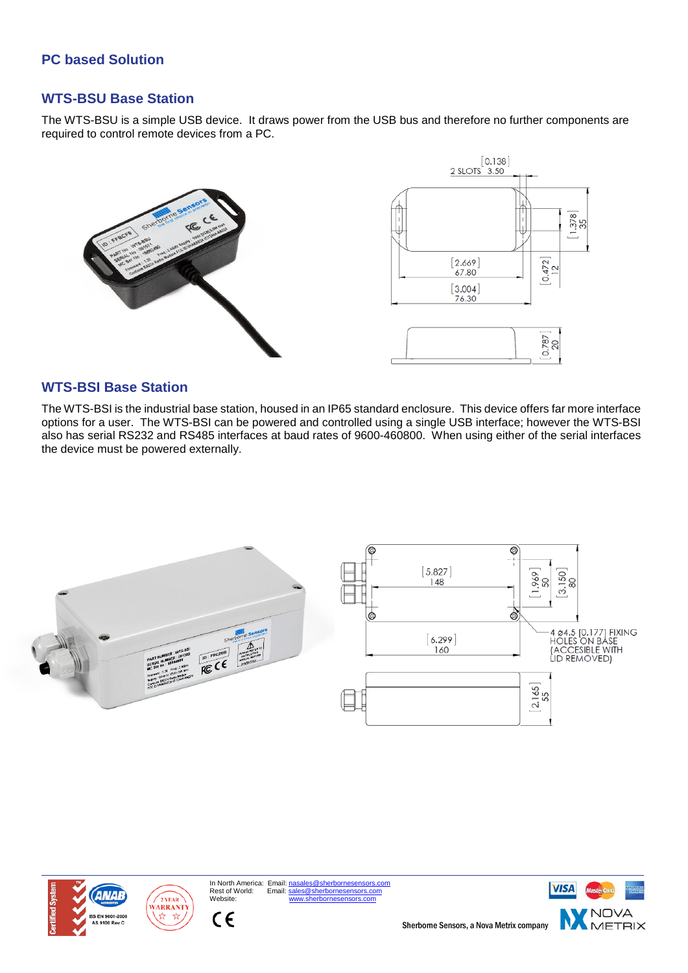# **PC based Solution**

# **WTS-BSU Base Station**

The WTS-BSU is a simple USB device. It draws power from the USB bus and therefore no further components are required to control remote devices from a PC.



#### **WTS-BSI Base Station**

The WTS-BSI is the industrial base station, housed in an IP65 standard enclosure. This device offers far more interface options for a user. The WTS-BSI can be powered and controlled using a single USB interface; however the WTS-BSI also has serial RS232 and RS485 interfaces at baud rates of 9600-460800. When using either of the serial interfaces the device must be powered externally.







In North America: Email: <u>nasales@sherbornesensors.com</u><br>Rest of World: Email: sales@sherbornesensors.com